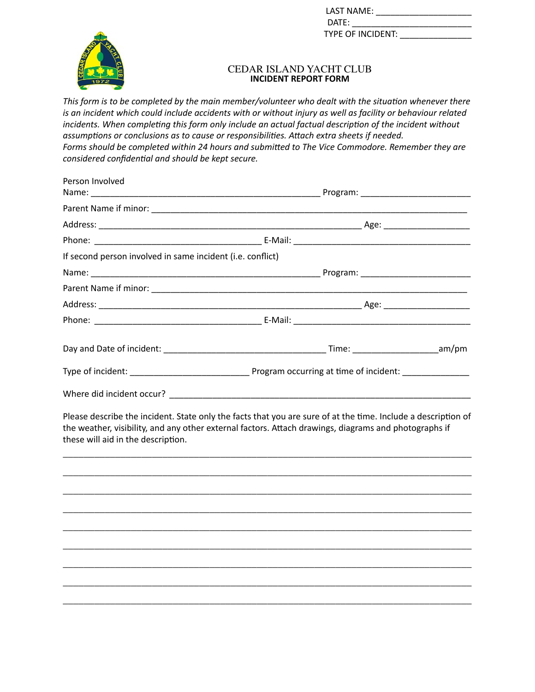| LAST NAME:        |  |
|-------------------|--|
| DATE:             |  |
| TYPE OF INCIDENT: |  |



## CEDAR ISLAND YACHT CLUB **INCIDENT REPORT FORM**

*This form is to be completed by the main member/volunteer who dealt with the situation whenever there is an incident which could include accidents with or without injury as well as facility or behaviour related incidents. When completing this form only include an actual factual description of the incident without assumptions or conclusions as to cause or responsibilities. Attach extra sheets if needed. Forms should be completed within 24 hours and submitted to The Vice Commodore. Remember they are considered confidential and should be kept secure.*

| Person Involved                                            |                                                                                                               |  |
|------------------------------------------------------------|---------------------------------------------------------------------------------------------------------------|--|
|                                                            |                                                                                                               |  |
|                                                            |                                                                                                               |  |
|                                                            |                                                                                                               |  |
|                                                            |                                                                                                               |  |
| If second person involved in same incident (i.e. conflict) |                                                                                                               |  |
|                                                            |                                                                                                               |  |
|                                                            |                                                                                                               |  |
|                                                            |                                                                                                               |  |
|                                                            |                                                                                                               |  |
|                                                            |                                                                                                               |  |
|                                                            |                                                                                                               |  |
|                                                            |                                                                                                               |  |
|                                                            | Please describe the incident. State only the facts that you are sure of at the time. Include a description of |  |

the weather, visibility, and any other external factors. Attach drawings, diagrams and photographs if these will aid in the description.

\_\_\_\_\_\_\_\_\_\_\_\_\_\_\_\_\_\_\_\_\_\_\_\_\_\_\_\_\_\_\_\_\_\_\_\_\_\_\_\_\_\_\_\_\_\_\_\_\_\_\_\_\_\_\_\_\_\_\_\_\_\_\_\_\_\_\_\_\_\_\_\_\_\_\_\_\_\_

\_\_\_\_\_\_\_\_\_\_\_\_\_\_\_\_\_\_\_\_\_\_\_\_\_\_\_\_\_\_\_\_\_\_\_\_\_\_\_\_\_\_\_\_\_\_\_\_\_\_\_\_\_\_\_\_\_\_\_\_\_\_\_\_\_\_\_\_\_\_\_\_\_\_\_\_\_\_

\_\_\_\_\_\_\_\_\_\_\_\_\_\_\_\_\_\_\_\_\_\_\_\_\_\_\_\_\_\_\_\_\_\_\_\_\_\_\_\_\_\_\_\_\_\_\_\_\_\_\_\_\_\_\_\_\_\_\_\_\_\_\_\_\_\_\_\_\_\_\_\_\_\_\_\_\_\_

\_\_\_\_\_\_\_\_\_\_\_\_\_\_\_\_\_\_\_\_\_\_\_\_\_\_\_\_\_\_\_\_\_\_\_\_\_\_\_\_\_\_\_\_\_\_\_\_\_\_\_\_\_\_\_\_\_\_\_\_\_\_\_\_\_\_\_\_\_\_\_\_\_\_\_\_\_\_

\_\_\_\_\_\_\_\_\_\_\_\_\_\_\_\_\_\_\_\_\_\_\_\_\_\_\_\_\_\_\_\_\_\_\_\_\_\_\_\_\_\_\_\_\_\_\_\_\_\_\_\_\_\_\_\_\_\_\_\_\_\_\_\_\_\_\_\_\_\_\_\_\_\_\_\_\_\_

\_\_\_\_\_\_\_\_\_\_\_\_\_\_\_\_\_\_\_\_\_\_\_\_\_\_\_\_\_\_\_\_\_\_\_\_\_\_\_\_\_\_\_\_\_\_\_\_\_\_\_\_\_\_\_\_\_\_\_\_\_\_\_\_\_\_\_\_\_\_\_\_\_\_\_\_\_\_

\_\_\_\_\_\_\_\_\_\_\_\_\_\_\_\_\_\_\_\_\_\_\_\_\_\_\_\_\_\_\_\_\_\_\_\_\_\_\_\_\_\_\_\_\_\_\_\_\_\_\_\_\_\_\_\_\_\_\_\_\_\_\_\_\_\_\_\_\_\_\_\_\_\_\_\_\_\_

\_\_\_\_\_\_\_\_\_\_\_\_\_\_\_\_\_\_\_\_\_\_\_\_\_\_\_\_\_\_\_\_\_\_\_\_\_\_\_\_\_\_\_\_\_\_\_\_\_\_\_\_\_\_\_\_\_\_\_\_\_\_\_\_\_\_\_\_\_\_\_\_\_\_\_\_\_\_

\_\_\_\_\_\_\_\_\_\_\_\_\_\_\_\_\_\_\_\_\_\_\_\_\_\_\_\_\_\_\_\_\_\_\_\_\_\_\_\_\_\_\_\_\_\_\_\_\_\_\_\_\_\_\_\_\_\_\_\_\_\_\_\_\_\_\_\_\_\_\_\_\_\_\_\_\_\_